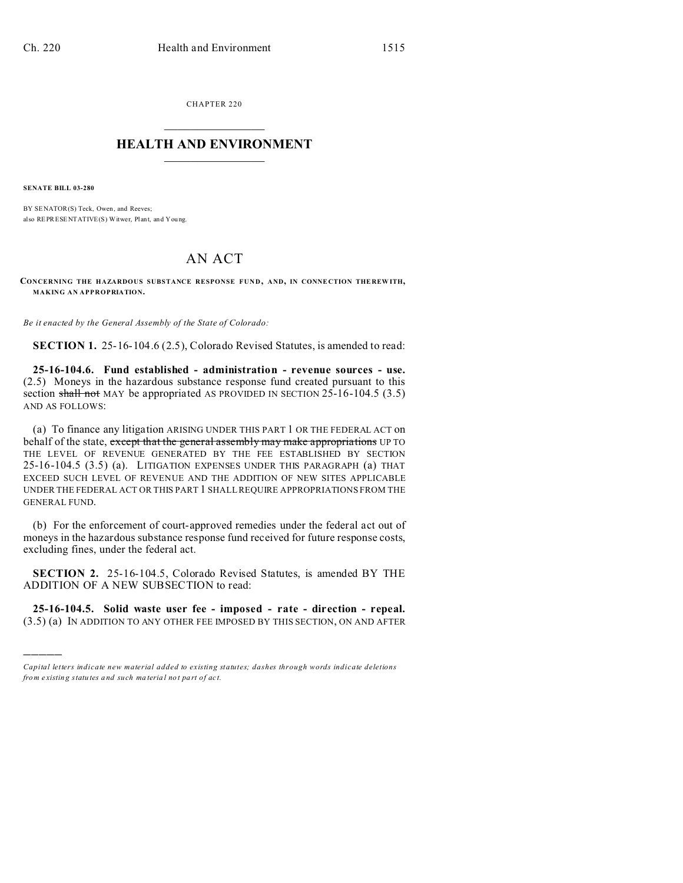CHAPTER 220  $\overline{\phantom{a}}$  , where  $\overline{\phantom{a}}$ 

## **HEALTH AND ENVIRONMENT**  $\_$   $\_$   $\_$   $\_$   $\_$   $\_$   $\_$   $\_$

**SENATE BILL 03-280**

)))))

BY SENATOR(S) Teck, Owen, and Reeves; also REPRESENTATIVE(S) Witwer, Plant, and You ng.

## AN ACT

**CONCERNING THE HAZARDOUS SUBSTANCE RESPONSE FUND, AND, IN CONNE CTION THE REW ITH, MAKING AN APPROPRIATION.**

*Be it enacted by the General Assembly of the State of Colorado:*

**SECTION 1.** 25-16-104.6 (2.5), Colorado Revised Statutes, is amended to read:

**25-16-104.6. Fund established - administration - revenue sources - use.** (2.5) Moneys in the hazardous substance response fund created pursuant to this section shall not MAY be appropriated AS PROVIDED IN SECTION  $25-16-104.5$  (3.5) AND AS FOLLOWS:

(a) To finance any litigation ARISING UNDER THIS PART 1 OR THE FEDERAL ACT on behalf of the state, except that the general assembly may make appropriations UP TO THE LEVEL OF REVENUE GENERATED BY THE FEE ESTABLISHED BY SECTION 25-16-104.5 (3.5) (a). LITIGATION EXPENSES UNDER THIS PARAGRAPH (a) THAT EXCEED SUCH LEVEL OF REVENUE AND THE ADDITION OF NEW SITES APPLICABLE UNDER THE FEDERAL ACT OR THIS PART 1 SHALL REQUIRE APPROPRIATIONS FROM THE GENERAL FUND.

(b) For the enforcement of court-approved remedies under the federal act out of moneys in the hazardous substance response fund received for future response costs, excluding fines, under the federal act.

**SECTION 2.** 25-16-104.5, Colorado Revised Statutes, is amended BY THE ADDITION OF A NEW SUBSECTION to read:

**25-16-104.5. Solid waste user fee - imposed - rate - direction - repeal.** (3.5) (a) IN ADDITION TO ANY OTHER FEE IMPOSED BY THIS SECTION, ON AND AFTER

*Capital letters indicate new material added to existing statutes; dashes through words indicate deletions from e xistin g statu tes a nd such ma teria l no t pa rt of ac t.*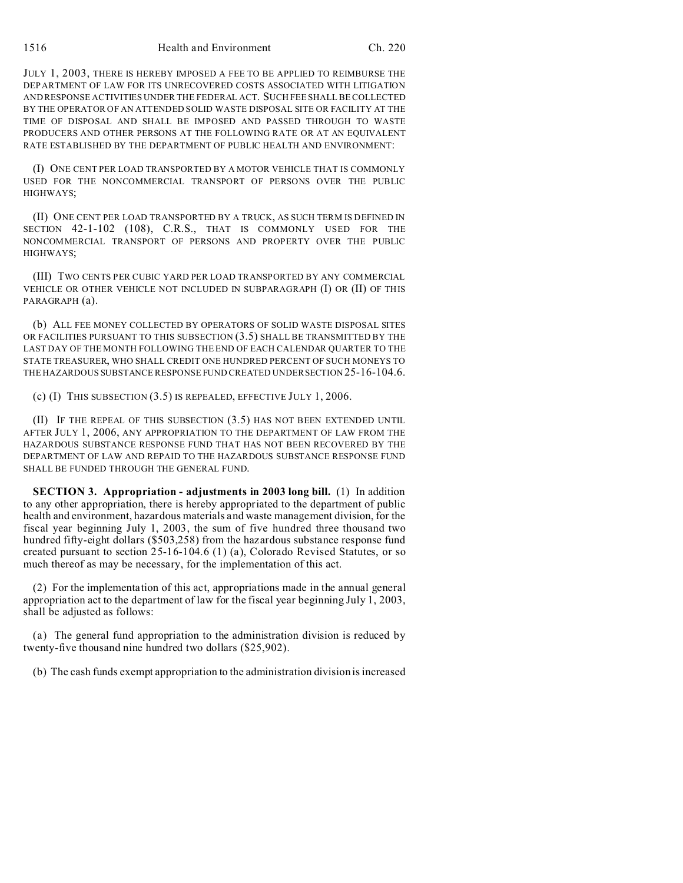JULY 1, 2003, THERE IS HEREBY IMPOSED A FEE TO BE APPLIED TO REIMBURSE THE DEPARTMENT OF LAW FOR ITS UNRECOVERED COSTS ASSOCIATED WITH LITIGATION AND RESPONSE ACTIVITIES UNDER THE FEDERAL ACT. SUCH FEE SHALL BE COLLECTED BY THE OPERATOR OF AN ATTENDED SOLID WASTE DISPOSAL SITE OR FACILITY AT THE TIME OF DISPOSAL AND SHALL BE IMPOSED AND PASSED THROUGH TO WASTE PRODUCERS AND OTHER PERSONS AT THE FOLLOWING RATE OR AT AN EQUIVALENT RATE ESTABLISHED BY THE DEPARTMENT OF PUBLIC HEALTH AND ENVIRONMENT:

(I) ONE CENT PER LOAD TRANSPORTED BY A MOTOR VEHICLE THAT IS COMMONLY USED FOR THE NONCOMMERCIAL TRANSPORT OF PERSONS OVER THE PUBLIC HIGHWAYS;

(II) ONE CENT PER LOAD TRANSPORTED BY A TRUCK, AS SUCH TERM IS DEFINED IN SECTION 42-1-102 (108), C.R.S., THAT IS COMMONLY USED FOR THE NONCOMMERCIAL TRANSPORT OF PERSONS AND PROPERTY OVER THE PUBLIC HIGHWAYS;

(III) TWO CENTS PER CUBIC YARD PER LOAD TRANSPORTED BY ANY COMMERCIAL VEHICLE OR OTHER VEHICLE NOT INCLUDED IN SUBPARAGRAPH (I) OR (II) OF THIS PARAGRAPH (a).

(b) ALL FEE MONEY COLLECTED BY OPERATORS OF SOLID WASTE DISPOSAL SITES OR FACILITIES PURSUANT TO THIS SUBSECTION (3.5) SHALL BE TRANSMITTED BY THE LAST DAY OF THE MONTH FOLLOWING THE END OF EACH CALENDAR QUARTER TO THE STATE TREASURER, WHO SHALL CREDIT ONE HUNDRED PERCENT OF SUCH MONEYS TO THE HAZARDOUS SUBSTANCE RESPONSE FUND CREATED UNDERSECTION 25-16-104.6.

(c) (I) THIS SUBSECTION (3.5) IS REPEALED, EFFECTIVE JULY 1, 2006.

(II) IF THE REPEAL OF THIS SUBSECTION (3.5) HAS NOT BEEN EXTENDED UNTIL AFTER JULY 1, 2006, ANY APPROPRIATION TO THE DEPARTMENT OF LAW FROM THE HAZARDOUS SUBSTANCE RESPONSE FUND THAT HAS NOT BEEN RECOVERED BY THE DEPARTMENT OF LAW AND REPAID TO THE HAZARDOUS SUBSTANCE RESPONSE FUND SHALL BE FUNDED THROUGH THE GENERAL FUND.

**SECTION 3. Appropriation - adjustments in 2003 long bill.** (1) In addition to any other appropriation, there is hereby appropriated to the department of public health and environment, hazardous materials and waste management division, for the fiscal year beginning July 1, 2003, the sum of five hundred three thousand two hundred fifty-eight dollars (\$503,258) from the hazardous substance response fund created pursuant to section 25-16-104.6 (1) (a), Colorado Revised Statutes, or so much thereof as may be necessary, for the implementation of this act.

(2) For the implementation of this act, appropriations made in the annual general appropriation act to the department of law for the fiscal year beginning July 1, 2003, shall be adjusted as follows:

(a) The general fund appropriation to the administration division is reduced by twenty-five thousand nine hundred two dollars (\$25,902).

(b) The cash funds exempt appropriation to the administration division is increased